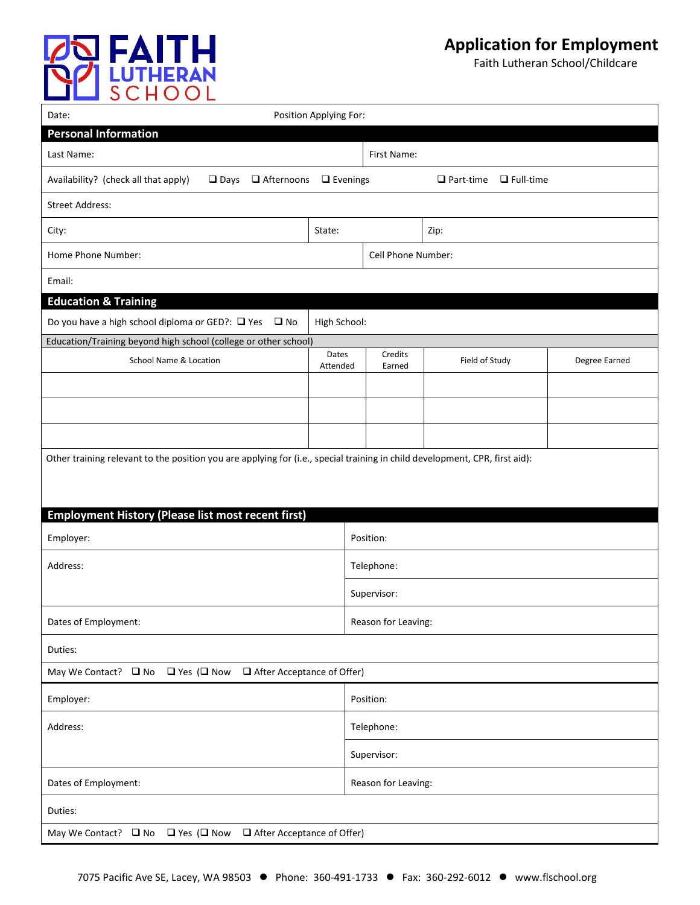

Faith Lutheran School/Childcare

| Position Applying For:<br>Date:                                                                                               |                     |                     |                           |               |  |
|-------------------------------------------------------------------------------------------------------------------------------|---------------------|---------------------|---------------------------|---------------|--|
| <b>Personal Information</b>                                                                                                   |                     |                     |                           |               |  |
| Last Name:                                                                                                                    |                     | First Name:         |                           |               |  |
| Availability? (check all that apply)<br>$\Box$ Days $\Box$ Afternoons<br>$\Box$ Evenings<br>$\Box$ Part-time $\Box$ Full-time |                     |                     |                           |               |  |
| <b>Street Address:</b>                                                                                                        |                     |                     |                           |               |  |
| City:                                                                                                                         | State:              |                     | Zip:                      |               |  |
| Home Phone Number:                                                                                                            |                     |                     | <b>Cell Phone Number:</b> |               |  |
| Email:                                                                                                                        |                     |                     |                           |               |  |
| <b>Education &amp; Training</b>                                                                                               |                     |                     |                           |               |  |
| Do you have a high school diploma or GED?: $\Box$ Yes $\Box$ No                                                               | High School:        |                     |                           |               |  |
| Education/Training beyond high school (college or other school)                                                               |                     |                     |                           |               |  |
| School Name & Location                                                                                                        | Dates<br>Attended   | Credits<br>Earned   | Field of Study            | Degree Earned |  |
|                                                                                                                               |                     |                     |                           |               |  |
|                                                                                                                               |                     |                     |                           |               |  |
|                                                                                                                               |                     |                     |                           |               |  |
| Other training relevant to the position you are applying for (i.e., special training in child development, CPR, first aid):   |                     |                     |                           |               |  |
|                                                                                                                               |                     |                     |                           |               |  |
| <b>Employment History (Please list most recent first)</b>                                                                     |                     |                     |                           |               |  |
| Employer:                                                                                                                     |                     | Position:           |                           |               |  |
|                                                                                                                               |                     |                     |                           |               |  |
| Address:                                                                                                                      |                     | Telephone:          |                           |               |  |
|                                                                                                                               |                     | Supervisor:         |                           |               |  |
| Dates of Employment:                                                                                                          | Reason for Leaving: |                     |                           |               |  |
| Duties:                                                                                                                       |                     |                     |                           |               |  |
| $\Box$ After Acceptance of Offer)<br>May We Contact? $\Box$ No $\Box$ Yes ( $\Box$ Now                                        |                     |                     |                           |               |  |
| Employer:                                                                                                                     |                     | Position:           |                           |               |  |
| Address:                                                                                                                      |                     | Telephone:          |                           |               |  |
|                                                                                                                               |                     | Supervisor:         |                           |               |  |
| Dates of Employment:                                                                                                          |                     | Reason for Leaving: |                           |               |  |
| Duties:                                                                                                                       |                     |                     |                           |               |  |
| May We Contact? $\Box$ No $\Box$ Yes ( $\Box$ Now $\Box$ After Acceptance of Offer)                                           |                     |                     |                           |               |  |